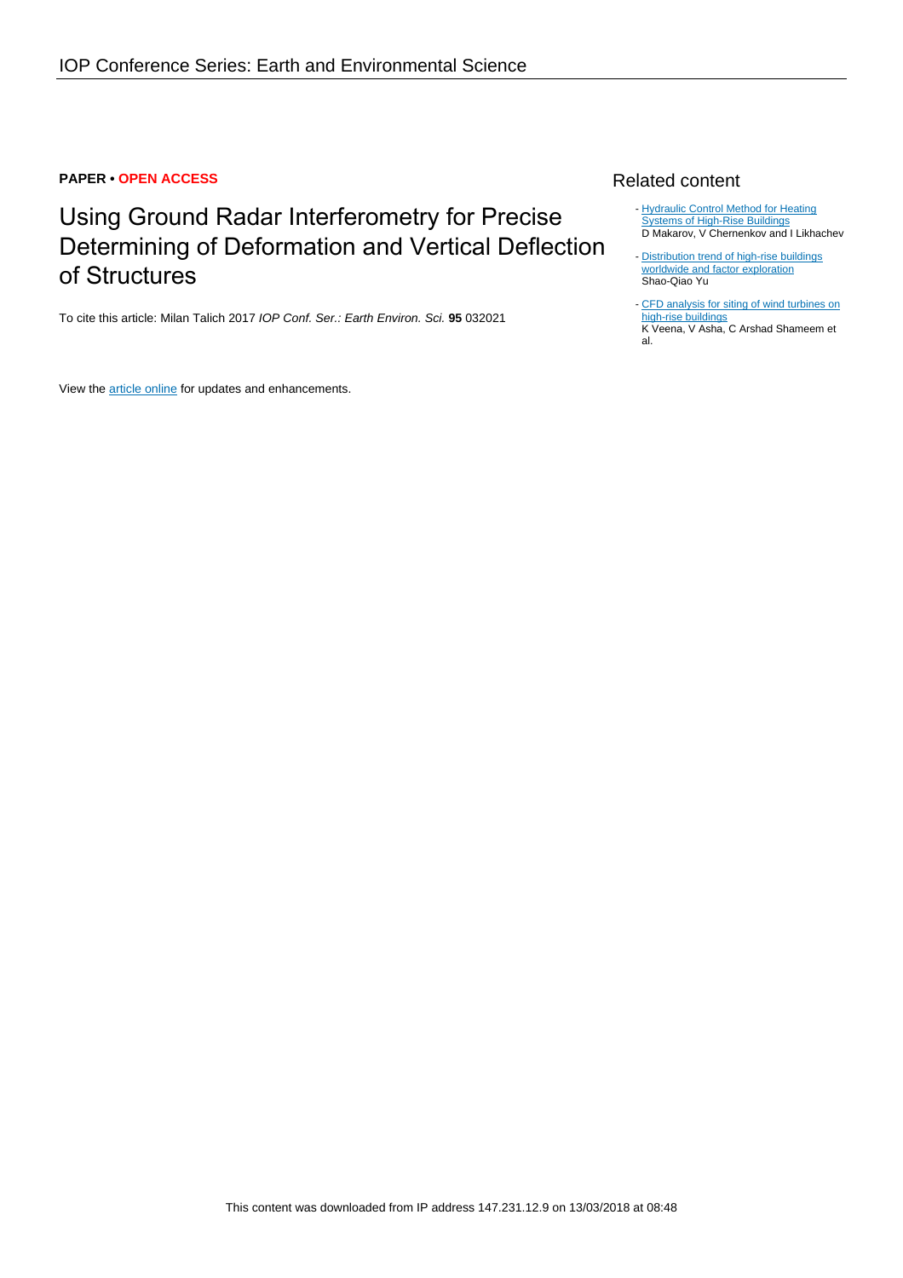#### **PAPER • OPEN ACCESS**

# Using Ground Radar Interferometry for Precise Determining of Deformation and Vertical Deflection of Structures

To cite this article: Milan Talich 2017 IOP Conf. Ser.: Earth Environ. Sci. **95** 032021

View the **[article online](https://doi.org/10.1088/1755-1315/95/3/032021)** for updates and enhancements.

#### Related content

- [Hydraulic Control Method for Heating](http://iopscience.iop.org/article/10.1088/1757-899X/262/1/012097) [Systems of High-Rise Buildings](http://iopscience.iop.org/article/10.1088/1757-899X/262/1/012097) D Makarov, V Chernenkov and I Likhachev
- [Distribution trend of high-rise buildings](http://iopscience.iop.org/article/10.1088/1755-1315/81/1/012155) [worldwide and factor exploration](http://iopscience.iop.org/article/10.1088/1755-1315/81/1/012155) Shao-Qiao Yu

- [CFD analysis for siting of wind turbines on](http://iopscience.iop.org/article/10.1088/1742-6596/822/1/012013) [high-rise buildings](http://iopscience.iop.org/article/10.1088/1742-6596/822/1/012013) K Veena, V Asha, C Arshad Shameem et al.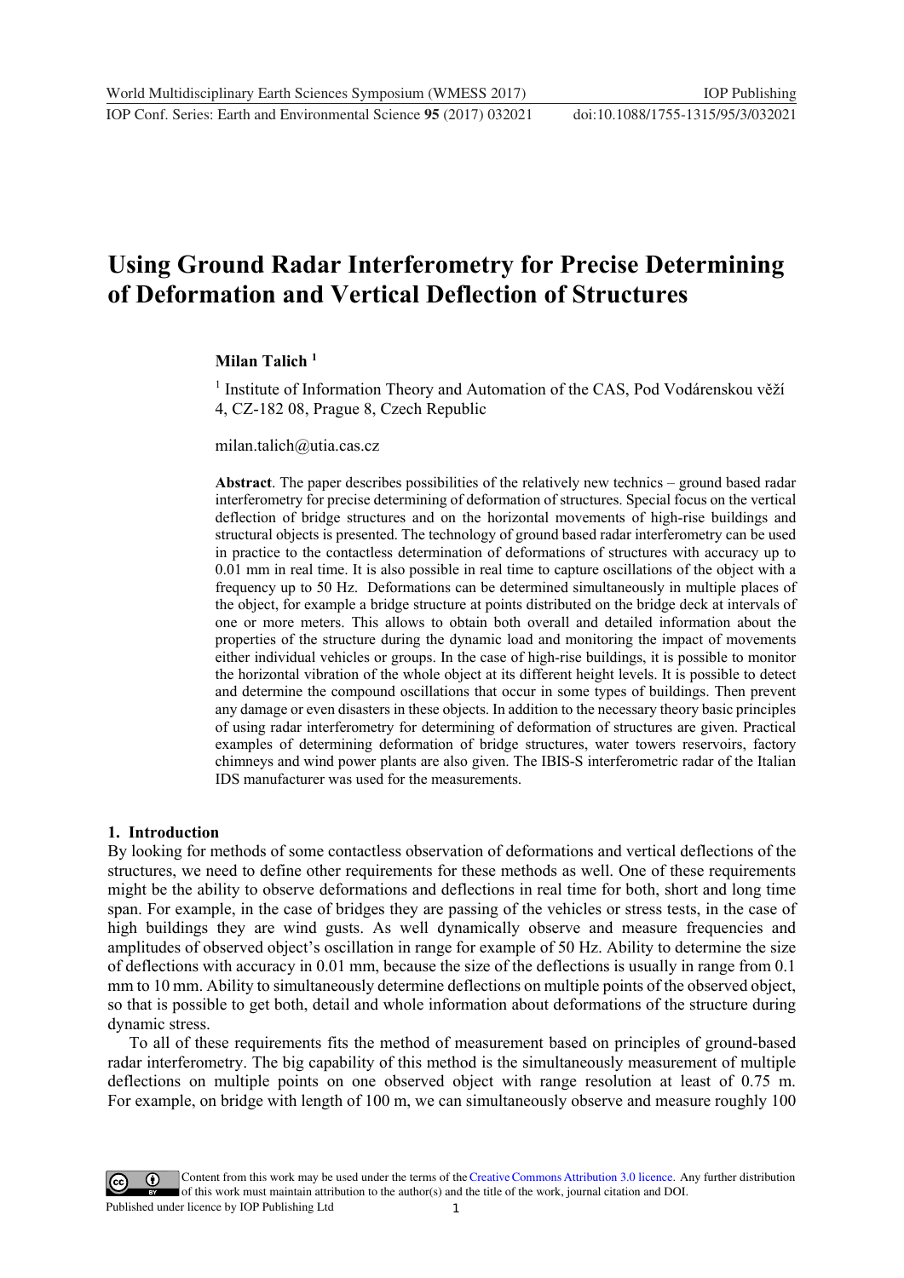# **Using Ground Radar Interferometry for Precise Determining of Deformation and Vertical Deflection of Structures**

#### **Milan Talich 1**

<sup>1</sup> Institute of Information Theory and Automation of the CAS, Pod Vodárenskou věží 4, CZ-182 08, Prague 8, Czech Republic

milan.talich@utia.cas.cz

**Abstract**. The paper describes possibilities of the relatively new technics – ground based radar interferometry for precise determining of deformation of structures. Special focus on the vertical deflection of bridge structures and on the horizontal movements of high-rise buildings and structural objects is presented. The technology of ground based radar interferometry can be used in practice to the contactless determination of deformations of structures with accuracy up to 0.01 mm in real time. It is also possible in real time to capture oscillations of the object with a frequency up to 50 Hz. Deformations can be determined simultaneously in multiple places of the object, for example a bridge structure at points distributed on the bridge deck at intervals of one or more meters. This allows to obtain both overall and detailed information about the properties of the structure during the dynamic load and monitoring the impact of movements either individual vehicles or groups. In the case of high-rise buildings, it is possible to monitor the horizontal vibration of the whole object at its different height levels. It is possible to detect and determine the compound oscillations that occur in some types of buildings. Then prevent any damage or even disasters in these objects. In addition to the necessary theory basic principles of using radar interferometry for determining of deformation of structures are given. Practical examples of determining deformation of bridge structures, water towers reservoirs, factory chimneys and wind power plants are also given. The IBIS-S interferometric radar of the Italian IDS manufacturer was used for the measurements.

#### **1. Introduction**

By looking for methods of some contactless observation of deformations and vertical deflections of the structures, we need to define other requirements for these methods as well. One of these requirements might be the ability to observe deformations and deflections in real time for both, short and long time span. For example, in the case of bridges they are passing of the vehicles or stress tests, in the case of high buildings they are wind gusts. As well dynamically observe and measure frequencies and amplitudes of observed object's oscillation in range for example of 50 Hz. Ability to determine the size of deflections with accuracy in 0.01 mm, because the size of the deflections is usually in range from 0.1 mm to 10 mm. Ability to simultaneously determine deflections on multiple points of the observed object, so that is possible to get both, detail and whole information about deformations of the structure during dynamic stress.

To all of these requirements fits the method of measurement based on principles of ground-based radar interferometry. The big capability of this method is the simultaneously measurement of multiple deflections on multiple points on one observed object with range resolution at least of 0.75 m. For example, on bridge with length of 100 m, we can simultaneously observe and measure roughly 100

1 Content from this work may be used under the terms of the[Creative Commons Attribution 3.0 licence.](http://creativecommons.org/licenses/by/3.0) Any further distribution of this work must maintain attribution to the author(s) and the title of the work, journal citation and DOI. Published under licence by IOP Publishing Ltd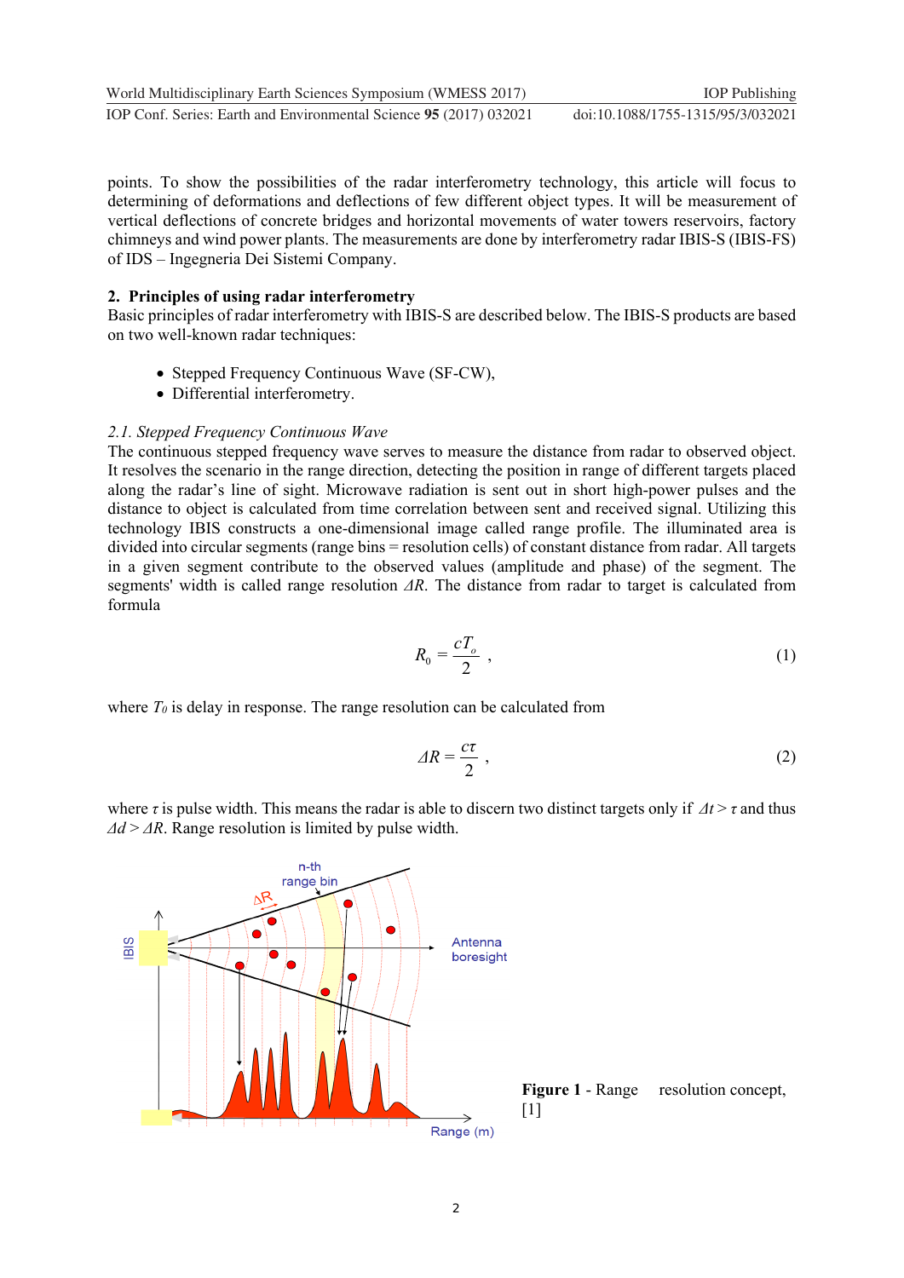points. To show the possibilities of the radar interferometry technology, this article will focus to determining of deformations and deflections of few different object types. It will be measurement of vertical deflections of concrete bridges and horizontal movements of water towers reservoirs, factory chimneys and wind power plants. The measurements are done by interferometry radar IBIS-S (IBIS-FS) of IDS – Ingegneria Dei Sistemi Company.

#### **2. Principles of using radar interferometry**

Basic principles of radar interferometry with IBIS-S are described below. The IBIS-S products are based on two well-known radar techniques:

- Stepped Frequency Continuous Wave (SF-CW),
- Differential interferometry.

#### *2.1. Stepped Frequency Continuous Wave*

The continuous stepped frequency wave serves to measure the distance from radar to observed object. It resolves the scenario in the range direction, detecting the position in range of different targets placed along the radar's line of sight. Microwave radiation is sent out in short high-power pulses and the distance to object is calculated from time correlation between sent and received signal. Utilizing this technology IBIS constructs a one-dimensional image called range profile. The illuminated area is divided into circular segments (range bins = resolution cells) of constant distance from radar. All targets in a given segment contribute to the observed values (amplitude and phase) of the segment. The segments' width is called range resolution *ΔR*. The distance from radar to target is calculated from formula

$$
R_0 = \frac{cT_o}{2} \tag{1}
$$

where  $T_0$  is delay in response. The range resolution can be calculated from

$$
\Delta R = \frac{c\tau}{2} \,, \tag{2}
$$

where *τ* is pulse width. This means the radar is able to discern two distinct targets only if  $\Delta t > \tau$  and thus *Δd* > *ΔR*. Range resolution is limited by pulse width.

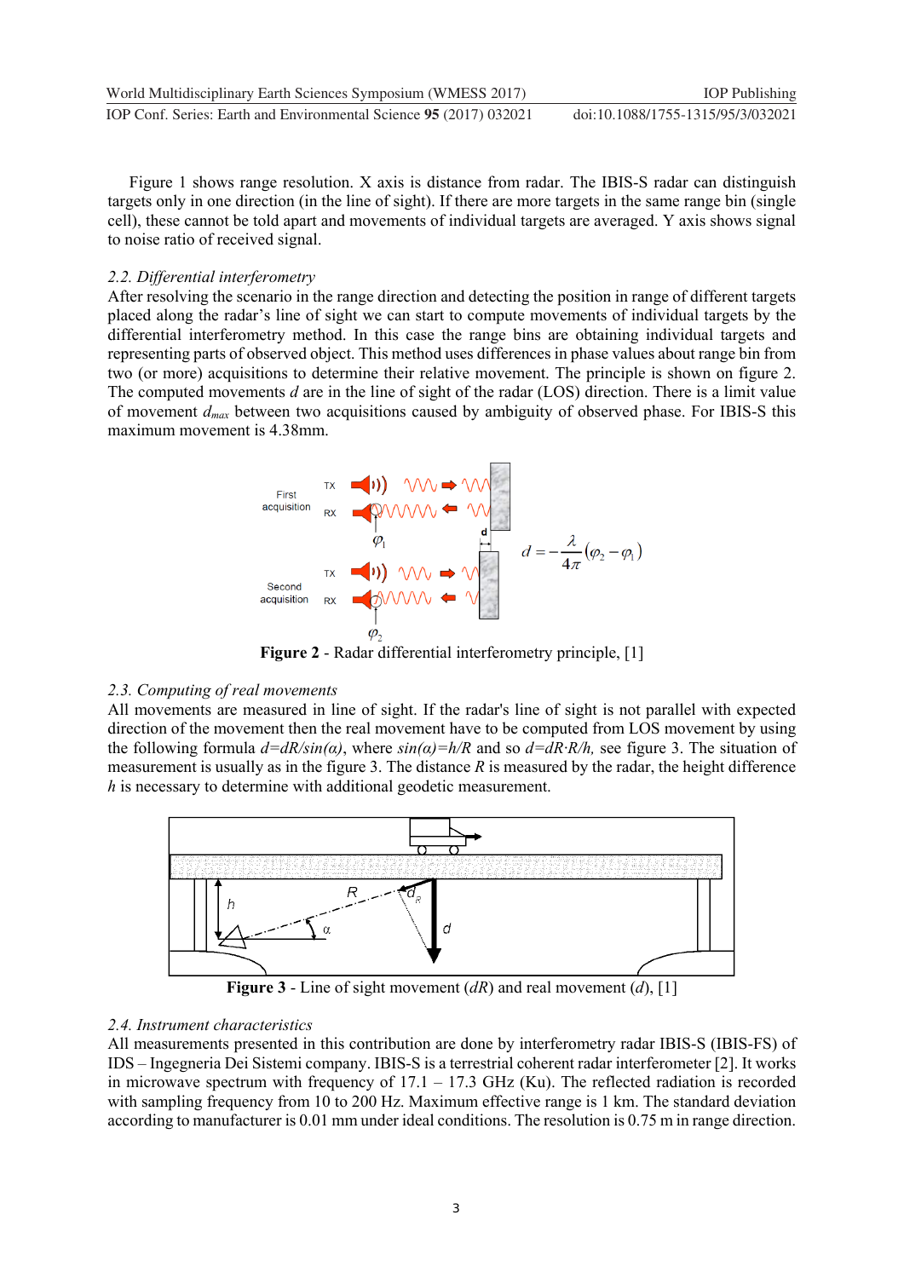Figure 1 shows range resolution. X axis is distance from radar. The IBIS-S radar can distinguish targets only in one direction (in the line of sight). If there are more targets in the same range bin (single cell), these cannot be told apart and movements of individual targets are averaged. Y axis shows signal to noise ratio of received signal.

#### *2.2. Differential interferometry*

After resolving the scenario in the range direction and detecting the position in range of different targets placed along the radar's line of sight we can start to compute movements of individual targets by the differential interferometry method. In this case the range bins are obtaining individual targets and representing parts of observed object. This method uses differences in phase values about range bin from two (or more) acquisitions to determine their relative movement. The principle is shown on figure 2. The computed movements *d* are in the line of sight of the radar (LOS) direction. There is a limit value of movement *dmax* between two acquisitions caused by ambiguity of observed phase. For IBIS-S this maximum movement is 4.38mm.



**Figure 2** - Radar differential interferometry principle, [1]

#### *2.3. Computing of real movements*

All movements are measured in line of sight. If the radar's line of sight is not parallel with expected direction of the movement then the real movement have to be computed from LOS movement by using the following formula  $d=dR/sin(a)$ , where  $sin(a)=h/R$  and so  $d=dR<sup>t</sup>R/h$ , see figure 3. The situation of measurement is usually as in the figure 3. The distance *R* is measured by the radar, the height difference *h* is necessary to determine with additional geodetic measurement.



**Figure 3** - Line of sight movement (*dR*) and real movement (*d*), [1]

#### *2.4. Instrument characteristics*

All measurements presented in this contribution are done by interferometry radar IBIS-S (IBIS-FS) of IDS – Ingegneria Dei Sistemi company. IBIS-S is a terrestrial coherent radar interferometer [2]. It works in microwave spectrum with frequency of  $17.1 - 17.3$  GHz (Ku). The reflected radiation is recorded with sampling frequency from 10 to 200 Hz. Maximum effective range is 1 km. The standard deviation according to manufacturer is 0.01 mm under ideal conditions. The resolution is 0.75 m in range direction.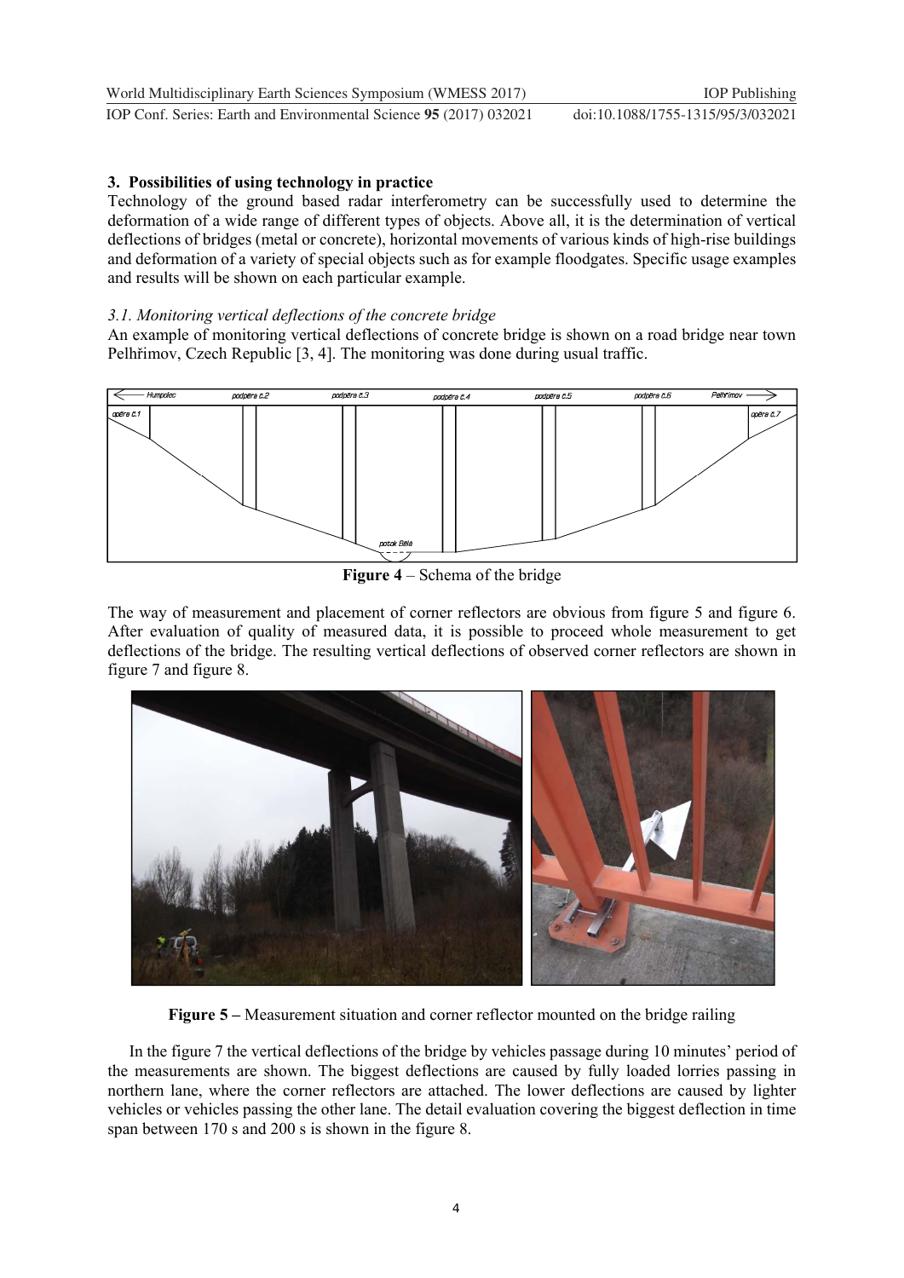# **3. Possibilities of using technology in practice**

Technology of the ground based radar interferometry can be successfully used to determine the deformation of a wide range of different types of objects. Above all, it is the determination of vertical deflections of bridges (metal or concrete), horizontal movements of various kinds of high-rise buildings and deformation of a variety of special objects such as for example floodgates. Specific usage examples and results will be shown on each particular example.

### *3.1. Monitoring vertical deflections of the concrete bridge*

An example of monitoring vertical deflections of concrete bridge is shown on a road bridge near town Pelhřimov, Czech Republic [3, 4]. The monitoring was done during usual traffic.



**Figure 4** – Schema of the bridge

The way of measurement and placement of corner reflectors are obvious from figure 5 and figure 6. After evaluation of quality of measured data, it is possible to proceed whole measurement to get deflections of the bridge. The resulting vertical deflections of observed corner reflectors are shown in figure 7 and figure 8.



**Figure 5** – Measurement situation and corner reflector mounted on the bridge railing

In the figure 7 the vertical deflections of the bridge by vehicles passage during 10 minutes' period of the measurements are shown. The biggest deflections are caused by fully loaded lorries passing in northern lane, where the corner reflectors are attached. The lower deflections are caused by lighter vehicles or vehicles passing the other lane. The detail evaluation covering the biggest deflection in time span between 170 s and 200 s is shown in the figure 8.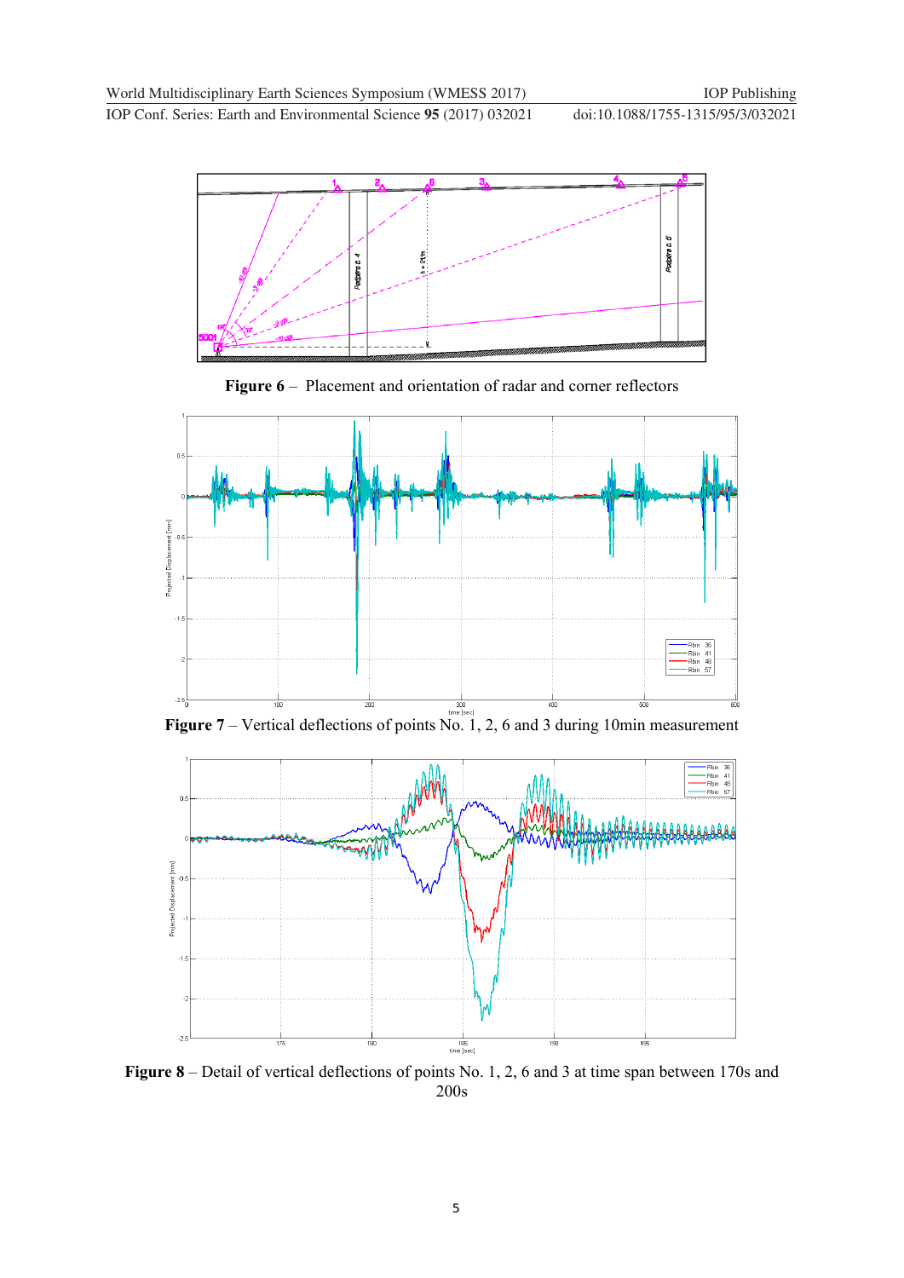**1234567890** IOP Conf. Series: Earth and Environmental Science **95** (2017) 032021 doi :10.1088/1755-1315/95/3/032021



**Figure 6** – Placement and orientation of radar and corner reflectors





**Figure 8** – Detail of vertical deflections of points No. 1, 2, 6 and 3 at time span between 170s and 200s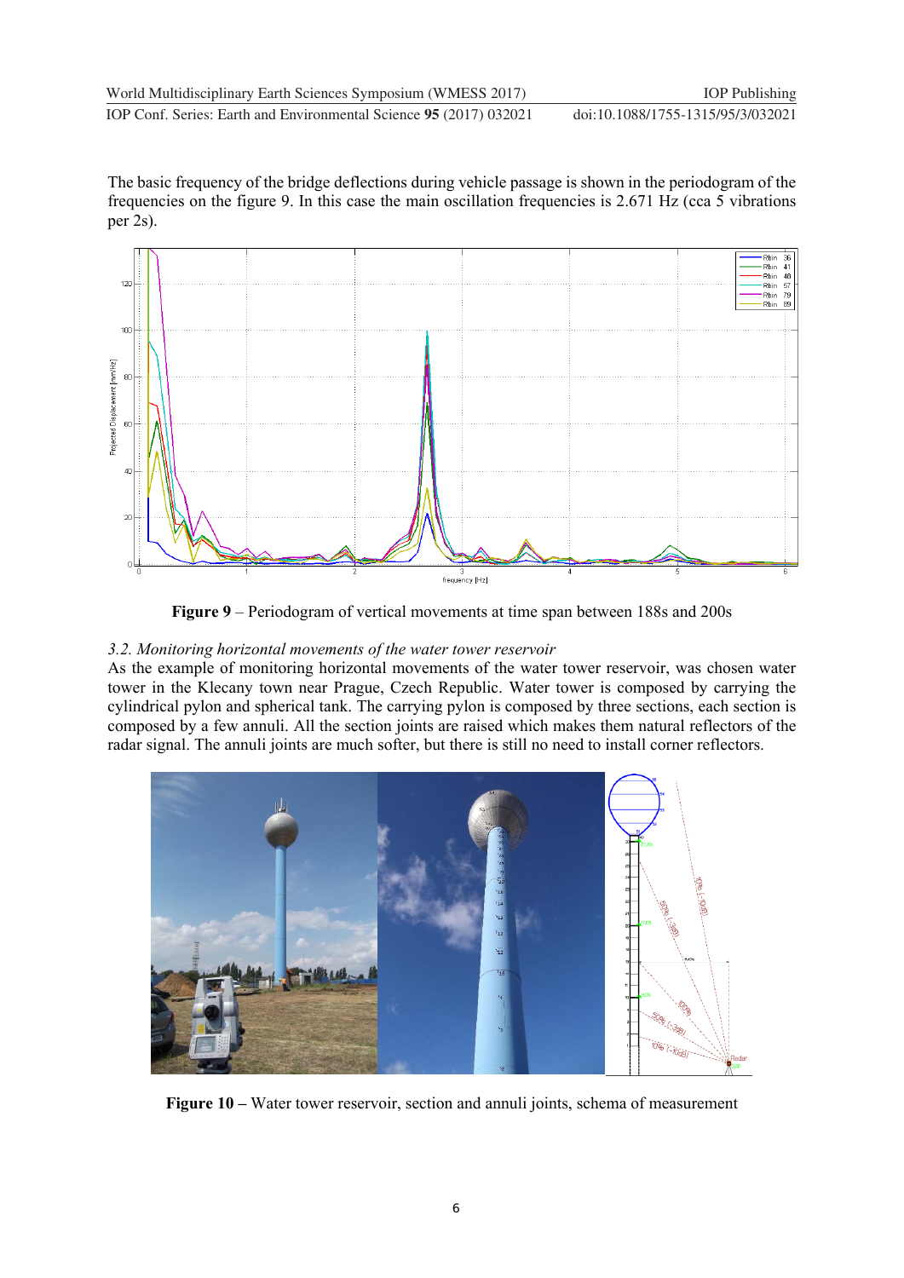The basic frequency of the bridge deflections during vehicle passage is shown in the periodogram of the frequencies on the figure 9. In this case the main oscillation frequencies is 2.671 Hz (cca 5 vibrations per 2s).



**Figure 9** – Periodogram of vertical movements at time span between 188s and 200s

# *3.2. Monitoring horizontal movements of the water tower reservoir*

As the example of monitoring horizontal movements of the water tower reservoir, was chosen water tower in the Klecany town near Prague, Czech Republic. Water tower is composed by carrying the cylindrical pylon and spherical tank. The carrying pylon is composed by three sections, each section is composed by a few annuli. All the section joints are raised which makes them natural reflectors of the radar signal. The annuli joints are much softer, but there is still no need to install corner reflectors.



**Figure 10 –** Water tower reservoir, section and annuli joints, schema of measurement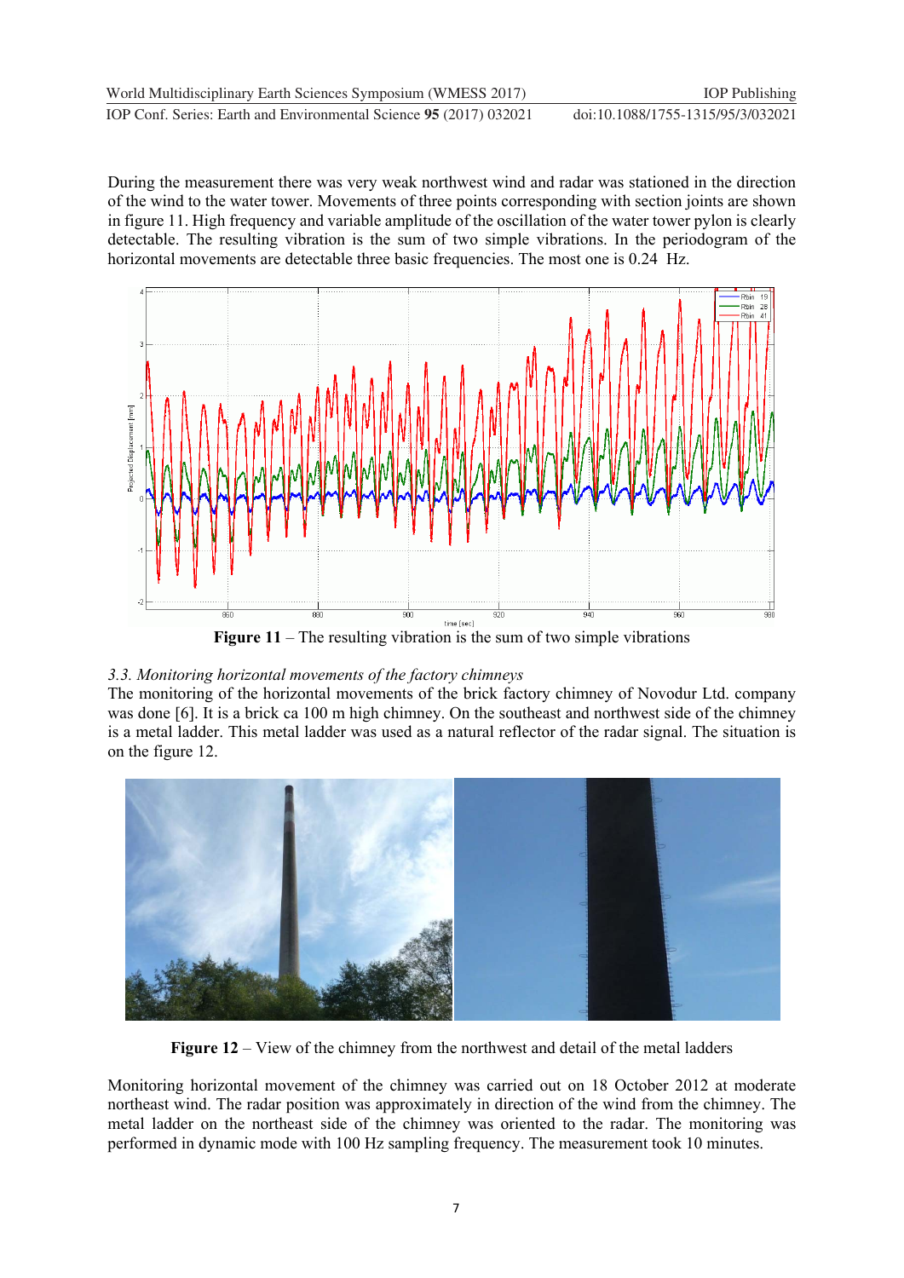During the measurement there was very weak northwest wind and radar was stationed in the direction of the wind to the water tower. Movements of three points corresponding with section joints are shown in figure 11. High frequency and variable amplitude of the oscillation of the water tower pylon is clearly detectable. The resulting vibration is the sum of two simple vibrations. In the periodogram of the horizontal movements are detectable three basic frequencies. The most one is 0.24 Hz.



**Figure 11** – The resulting vibration is the sum of two simple vibrations

# *3.3. Monitoring horizontal movements of the factory chimneys*

The monitoring of the horizontal movements of the brick factory chimney of Novodur Ltd. company was done [6]. It is a brick ca 100 m high chimney. On the southeast and northwest side of the chimney is a metal ladder. This metal ladder was used as a natural reflector of the radar signal. The situation is on the figure 12.



**Figure 12** – View of the chimney from the northwest and detail of the metal ladders

Monitoring horizontal movement of the chimney was carried out on 18 October 2012 at moderate northeast wind. The radar position was approximately in direction of the wind from the chimney. The metal ladder on the northeast side of the chimney was oriented to the radar. The monitoring was performed in dynamic mode with 100 Hz sampling frequency. The measurement took 10 minutes.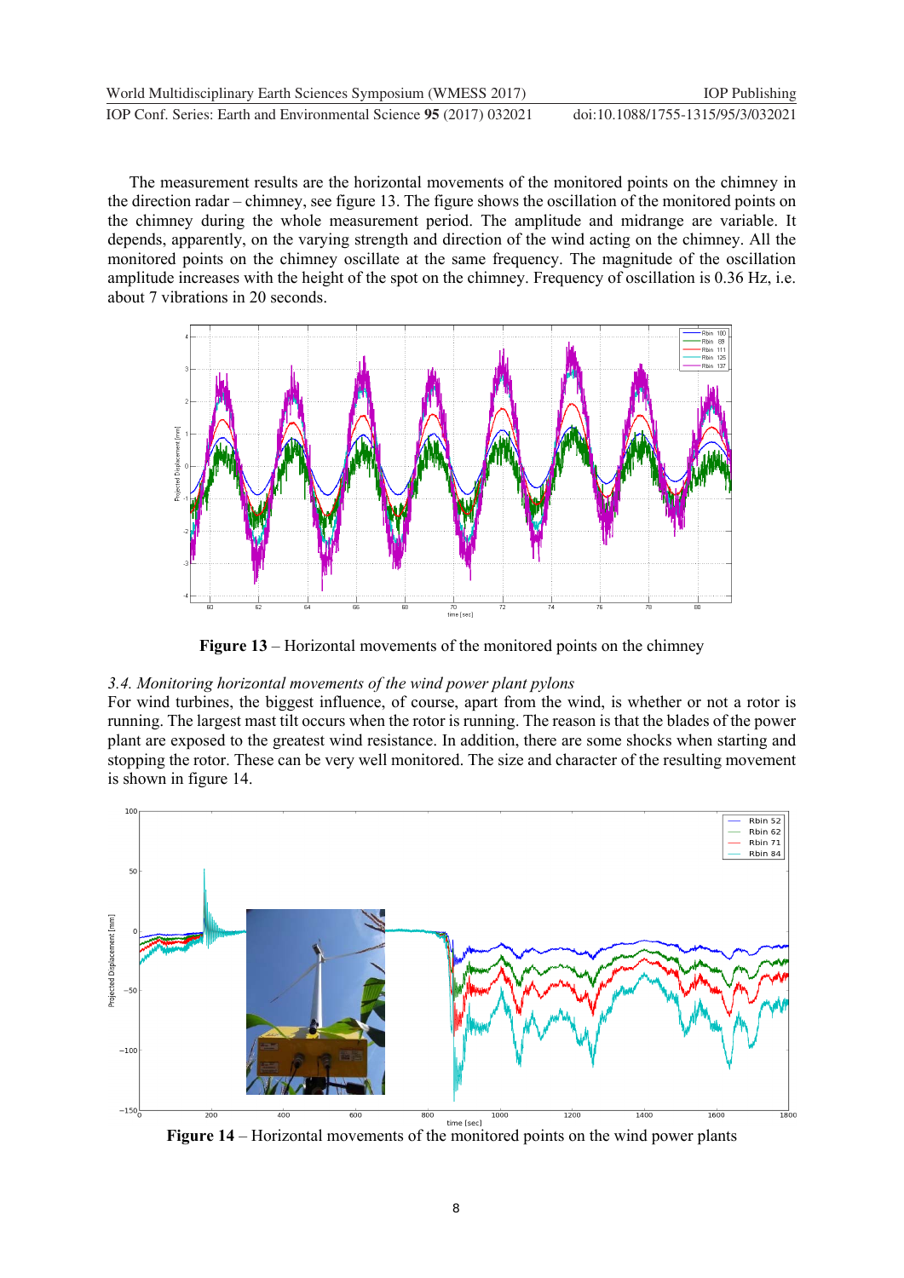The measurement results are the horizontal movements of the monitored points on the chimney in the direction radar – chimney, see figure 13. The figure shows the oscillation of the monitored points on the chimney during the whole measurement period. The amplitude and midrange are variable. It depends, apparently, on the varying strength and direction of the wind acting on the chimney. All the monitored points on the chimney oscillate at the same frequency. The magnitude of the oscillation amplitude increases with the height of the spot on the chimney. Frequency of oscillation is 0.36 Hz, i.e. about 7 vibrations in 20 seconds.



**Figure 13** – Horizontal movements of the monitored points on the chimney

# *3.4. Monitoring horizontal movements of the wind power plant pylons*

For wind turbines, the biggest influence, of course, apart from the wind, is whether or not a rotor is running. The largest mast tilt occurs when the rotor is running. The reason is that the blades of the power plant are exposed to the greatest wind resistance. In addition, there are some shocks when starting and stopping the rotor. These can be very well monitored. The size and character of the resulting movement is shown in figure 14.



**Figure 14** – Horizontal movements of the monitored points on the wind power plants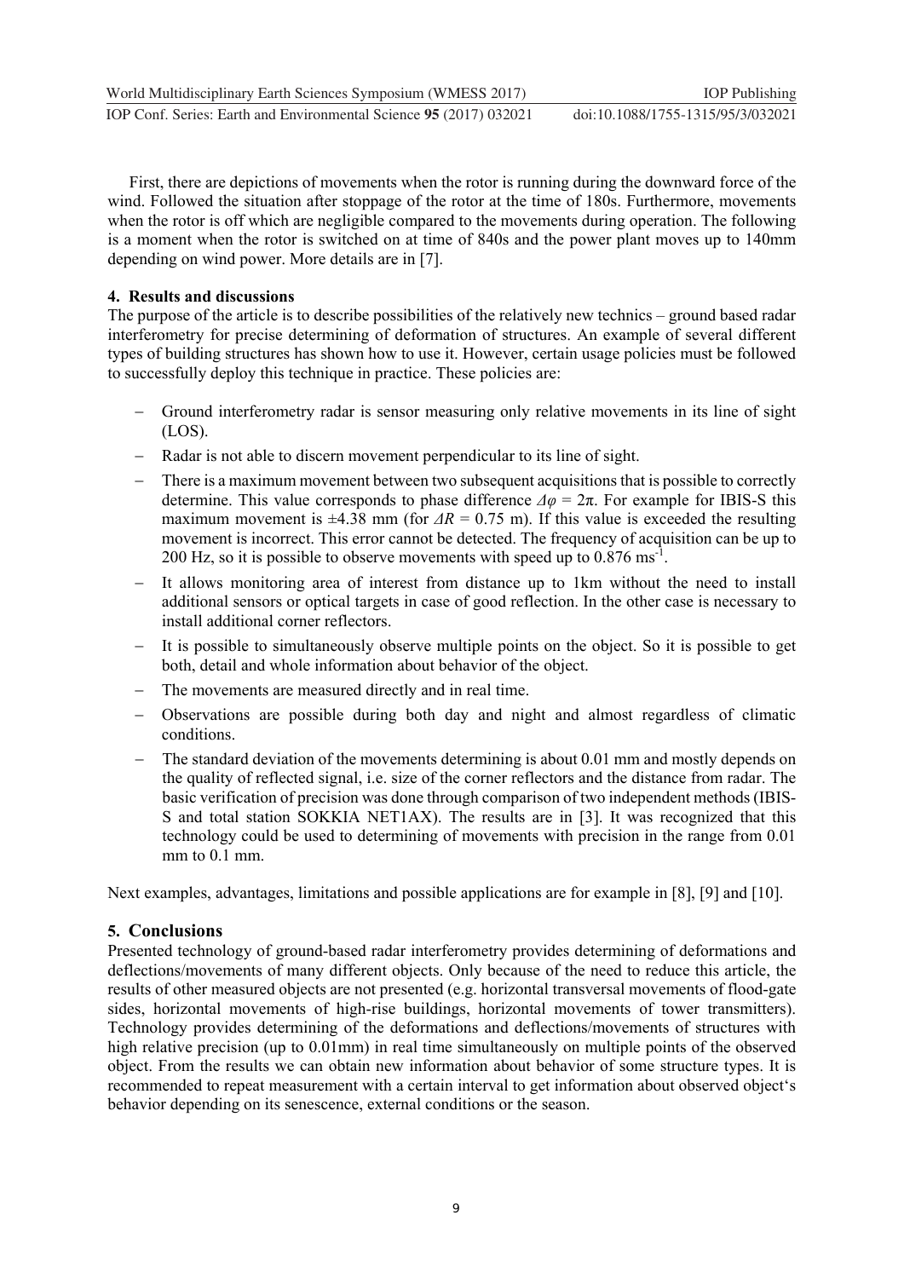First, there are depictions of movements when the rotor is running during the downward force of the wind. Followed the situation after stoppage of the rotor at the time of 180s. Furthermore, movements when the rotor is off which are negligible compared to the movements during operation. The following is a moment when the rotor is switched on at time of 840s and the power plant moves up to 140mm depending on wind power. More details are in [7].

# **4. Results and discussions**

The purpose of the article is to describe possibilities of the relatively new technics – ground based radar interferometry for precise determining of deformation of structures. An example of several different types of building structures has shown how to use it. However, certain usage policies must be followed to successfully deploy this technique in practice. These policies are:

- Ground interferometry radar is sensor measuring only relative movements in its line of sight (LOS).
- Radar is not able to discern movement perpendicular to its line of sight.
- There is a maximum movement between two subsequent acquisitions that is possible to correctly determine. This value corresponds to phase difference  $\Delta \varphi = 2\pi$ . For example for IBIS-S this maximum movement is  $\pm 4.38$  mm (for  $\Delta R = 0.75$  m). If this value is exceeded the resulting movement is incorrect. This error cannot be detected. The frequency of acquisition can be up to 200 Hz, so it is possible to observe movements with speed up to  $0.876 \text{ ms}^{-1}$ .
- It allows monitoring area of interest from distance up to 1km without the need to install additional sensors or optical targets in case of good reflection. In the other case is necessary to install additional corner reflectors.
- It is possible to simultaneously observe multiple points on the object. So it is possible to get both, detail and whole information about behavior of the object.
- The movements are measured directly and in real time.
- Observations are possible during both day and night and almost regardless of climatic conditions.
- The standard deviation of the movements determining is about 0.01 mm and mostly depends on the quality of reflected signal, i.e. size of the corner reflectors and the distance from radar. The basic verification of precision was done through comparison of two independent methods (IBIS-S and total station SOKKIA NET1AX). The results are in [3]. It was recognized that this technology could be used to determining of movements with precision in the range from 0.01 mm to  $0.1$  mm.

Next examples, advantages, limitations and possible applications are for example in [8], [9] and [10].

# **5. Conclusions**

Presented technology of ground-based radar interferometry provides determining of deformations and deflections/movements of many different objects. Only because of the need to reduce this article, the results of other measured objects are not presented (e.g. horizontal transversal movements of flood-gate sides, horizontal movements of high-rise buildings, horizontal movements of tower transmitters). Technology provides determining of the deformations and deflections/movements of structures with high relative precision (up to  $0.01$  mm) in real time simultaneously on multiple points of the observed object. From the results we can obtain new information about behavior of some structure types. It is recommended to repeat measurement with a certain interval to get information about observed object's behavior depending on its senescence, external conditions or the season.